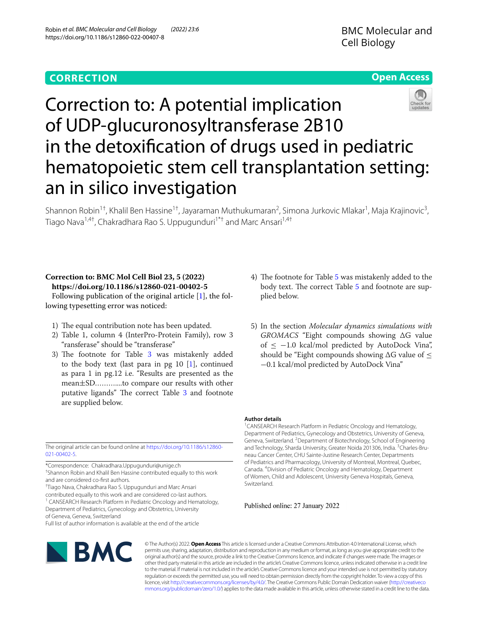# **CORRECTION**

## **Open Access**



# Correction to: A potential implication of UDP-glucuronosyltransferase 2B10 in the detoxifcation of drugs used in pediatric hematopoietic stem cell transplantation setting: an in silico investigation

Shannon Robin<sup>1†</sup>, Khalil Ben Hassine<sup>1†</sup>, Jayaraman Muthukumaran<sup>2</sup>, Simona Jurkovic Mlakar<sup>1</sup>, Maja Krajinovic<sup>3</sup>, Tiago Nava<sup>1,4†</sup>, Chakradhara Rao S. Uppugunduri<sup>1\*†</sup> and Marc Ansari<sup>1,4†</sup>

### **Correction to: BMC Mol Cell Biol 23, 5 (2022) https://doi.org/10.1186/s12860-021-00402-5** Following publication of the original article [[1\]](#page-1-0), the fol-

lowing typesetting error was noticed:

- 1) The equal contribution note has been updated.
- 2) Table 1, column 4 (InterPro-Protein Family), row 3 "ransferase" should be "transferase"
- 3) The footnote for Table  $3$  was mistakenly added to the body text (last para in pg  $10$  $10$  [1], continued as para 1 in pg.12 i.e. "Results are presented as the mean±SD………....to compare our results with other putative ligands" The correct Table [3](#page-1-1) and footnote are supplied below.

The original article can be found online at [https://doi.org/10.1186/s12860-](https://doi.org/10.1186/s12860-021-00402-5) [021-00402-5](https://doi.org/10.1186/s12860-021-00402-5).

\*Correspondence: Chakradhara.Uppugunduri@unige.ch

† Shannon Robin and Khalil Ben Hassine contributed equally to this work and are considered co-frst authors.

† Tiago Nava, Chakradhara Rao S. Uppugunduri and Marc Ansari

contributed equally to this work and are considered co-last authors.

of Geneva, Geneva, Switzerland

Full list of author information is available at the end of the article



© The Author(s) 2022. **Open Access** This article is licensed under a Creative Commons Attribution 4.0 International License, which permits use, sharing, adaptation, distribution and reproduction in any medium or format, as long as you give appropriate credit to the original author(s) and the source, provide a link to the Creative Commons licence, and indicate if changes were made. The images or other third party material in this article are included in the article's Creative Commons licence, unless indicated otherwise in a credit line to the material. If material is not included in the article's Creative Commons licence and your intended use is not permitted by statutory regulation or exceeds the permitted use, you will need to obtain permission directly from the copyright holder. To view a copy of this licence, visit [http://creativecommons.org/licenses/by/4.0/.](http://creativecommons.org/licenses/by/4.0/) The Creative Commons Public Domain Dedication waiver ([http://creativeco](http://creativecommons.org/publicdomain/zero/1.0/) [mmons.org/publicdomain/zero/1.0/](http://creativecommons.org/publicdomain/zero/1.0/)) applies to the data made available in this article, unless otherwise stated in a credit line to the data.

- 4) The footnote for Table [5](#page-2-0) was mistakenly added to the body text. The correct Table [5](#page-2-0) and footnote are supplied below.
- 5) In the section *Molecular dynamics simulations with GROMACS* "Eight compounds showing ΔG value of  $≤$  -1.0 kcal/mol predicted by AutoDock Vina", should be "Eight compounds showing  $\Delta G$  value of  $\leq$ −0.1 kcal/mol predicted by AutoDock Vina"

#### **Author details**

<sup>1</sup> CANSEARCH Research Platform in Pediatric Oncology and Hematology, Department of Pediatrics, Gynecology and Obstetrics, University of Geneva, Geneva, Switzerland. <sup>2</sup> Department of Biotechnology, School of Engineering and Technology, Sharda University, Greater Noida 201306, India. <sup>3</sup>Charles-Bruneau Cancer Center, CHU Sainte‑Justine Research Center, Departments of Pediatrics and Pharmacology, University of Montreal, Montreal, Quebec, Canada. 4 Division of Pediatric Oncology and Hematology, Department of Women, Child and Adolescent, University Geneva Hospitals, Geneva, Switzerland.

Published online: 27 January 2022

<sup>&</sup>lt;sup>1</sup> CANSEARCH Research Platform in Pediatric Oncology and Hematology, Department of Pediatrics, Gynecology and Obstetrics, University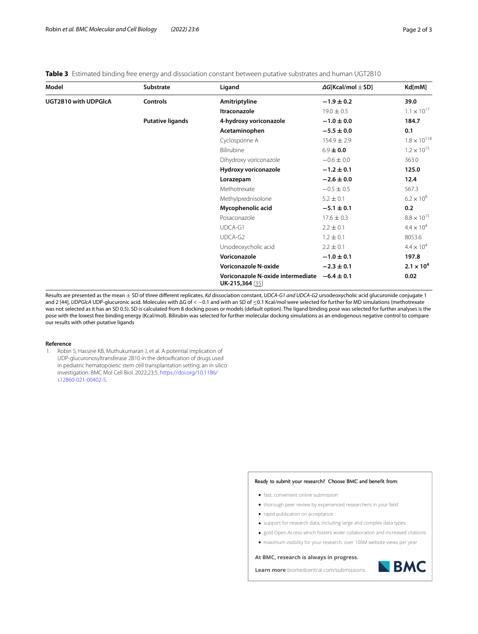<span id="page-1-1"></span>**Table 3** Estimated binding free energy and dissociation constant between putative substrates and human UGT2B10

| Model                | Substrate<br>Ligand     |                                                        | $\Delta G$ [Kcal/mol $\pm$ SD] | Kd[mM]                |  |
|----------------------|-------------------------|--------------------------------------------------------|--------------------------------|-----------------------|--|
| UGT2B10 with UDPGIcA | Controls                | Amitriptyline                                          | $-1.9 \pm 0.2$                 | 39.0                  |  |
|                      |                         | Itraconazole                                           | $19.0 \pm 0.5$                 | $1.1 \times 10^{17}$  |  |
|                      | <b>Putative ligands</b> | 4-hydroxy voriconazole                                 | $-1.0 \pm 0.0$                 | 184.7                 |  |
|                      |                         | Acetaminophen                                          | $-5.5 \pm 0.0$                 | 0.1                   |  |
|                      |                         | Cyclosporine A                                         | $154.9 \pm 2.9$                | $1.8 \times 10^{118}$ |  |
|                      |                         | Bilirubine                                             | $6.9 \pm 0.0$                  | $1.2 \times 10^{15}$  |  |
|                      |                         | Dihydroxy voriconazole                                 | $-0.6 \pm 0.0$                 | 363.0                 |  |
|                      |                         | Hydroxy voriconazole                                   | $-1.2 \pm 0.1$                 | 125.0                 |  |
|                      |                         | Lorazepam                                              | $-2.6 \pm 0.0$                 | 12.4                  |  |
|                      |                         | Methotrexate                                           | $-0.5 \pm 0.5$                 | 567.3                 |  |
|                      |                         | Methylprednisolone                                     | $5.2 \pm 0.1$                  | $6.2 \times 10^{6}$   |  |
|                      |                         | Mycophenolic acid                                      | $-5.1 \pm 0.1$                 | 0.2                   |  |
|                      |                         | Posaconazole                                           | $17.6 \pm 0.3$                 | $8.8 \times 10^{15}$  |  |
|                      |                         | UDCA-G1                                                | $2.2 \pm 0.1$                  | $4.4 \times 10^{4}$   |  |
|                      |                         | UDCA-G2                                                | $1.2 \pm 0.1$                  | 8053.6                |  |
|                      |                         | Ursodeoxycholic acid                                   | $2.2 \pm 0.1$                  | $4.4 \times 10^{4}$   |  |
|                      |                         | Voriconazole                                           | $-1.0 \pm 0.1$                 | 197.8                 |  |
|                      |                         | Voriconazole N-oxide                                   | $-2.3 \pm 0.1$                 | $2.1 \times 10^{4}$   |  |
|                      |                         | Voriconazole N-oxide intermediate<br>$UK-215,364 [35]$ | $-6.4 \pm 0.1$                 | 0.02                  |  |

Results are presented as the mean ± SD of three diferent replicates. *Kd* dissociation constant, *UDCA-G1 and UDCA-G2* ursodeoxycholic acid glucuronide conjugate 1 and 2 [44], *UDPGlcA* UDP-glucuronic acid. Molecules with ΔG of < −0.1 and with an SD of ≤0.1 Kcal/mol were selected for further for MD simulations (methotrexate was not selected as it has an SD 0.5). SD is calculated from 8 docking poses or models (default option). The ligand binding pose was selected for further analyses is the pose with the lowest free binding energy (Kcal/mol). Bilirubin was selected for further molecular docking simulations as an endogenous negative control to compare our results with other putative ligands

#### **Reference**

<span id="page-1-0"></span>1. Robin S, Hassine KB, Muthukumaran J, et al. A potential implication of UDP-glucuronosyltransferase 2B10 in the detoxifcation of drugs used in pediatric hematopoietic stem cell transplantation setting: an in silico investigation. BMC Mol Cell Biol. 2022;23:5. [https://doi.org/10.1186/](https://doi.org/10.1186/s12860-021-00402-5) [s12860-021-00402-5](https://doi.org/10.1186/s12860-021-00402-5).

#### Ready to submit your research? Choose BMC and benefit from:

- **•** fast, convenient online submission
- **•** thorough peer review by experienced researchers in your field
- rapid publication on acceptance
- support for research data, including large and complex data types
- **•** gold Open Access which fosters wider collaboration and increased citations
- **•** maximum visibility for your research: over 100M website views per year

#### **At BMC, research is always in progress.**

**Learn more** biomedcentral.com/submissions